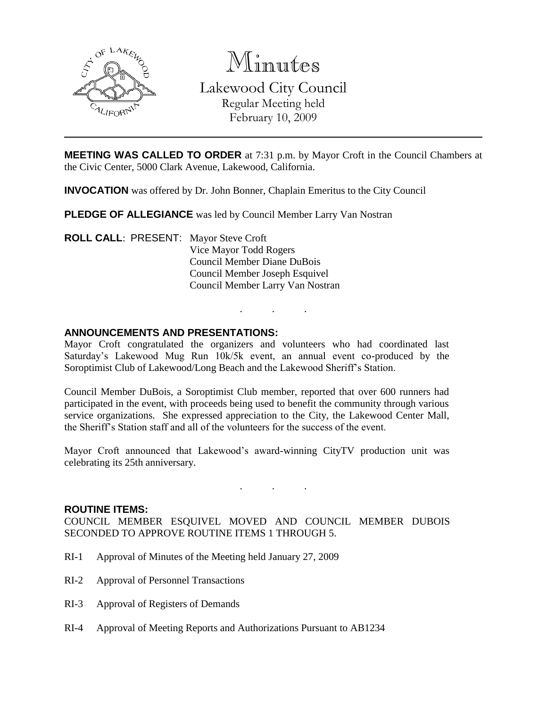

Minutes

Lakewood City Council Regular Meeting held February 10, 2009

**MEETING WAS CALLED TO ORDER** at 7:31 p.m. by Mayor Croft in the Council Chambers at the Civic Center, 5000 Clark Avenue, Lakewood, California.

**INVOCATION** was offered by Dr. John Bonner, Chaplain Emeritus to the City Council

**PLEDGE OF ALLEGIANCE** was led by Council Member Larry Van Nostran

**ROLL CALL**: PRESENT: Mayor Steve Croft Vice Mayor Todd Rogers Council Member Diane DuBois Council Member Joseph Esquivel Council Member Larry Van Nostran

#### **ANNOUNCEMENTS AND PRESENTATIONS:**

Mayor Croft congratulated the organizers and volunteers who had coordinated last Saturday's Lakewood Mug Run 10k/5k event, an annual event co-produced by the Soroptimist Club of Lakewood/Long Beach and the Lakewood Sheriff's Station.

. . .

Council Member DuBois, a Soroptimist Club member, reported that over 600 runners had participated in the event, with proceeds being used to benefit the community through various service organizations. She expressed appreciation to the City, the Lakewood Center Mall, the Sheriff's Station staff and all of the volunteers for the success of the event.

Mayor Croft announced that Lakewood's award-winning CityTV production unit was celebrating its 25th anniversary.

. . .

#### **ROUTINE ITEMS:**

COUNCIL MEMBER ESQUIVEL MOVED AND COUNCIL MEMBER DUBOIS SECONDED TO APPROVE ROUTINE ITEMS 1 THROUGH 5.

- RI-1 Approval of Minutes of the Meeting held January 27, 2009
- RI-2 Approval of Personnel Transactions
- RI-3 Approval of Registers of Demands
- RI-4 Approval of Meeting Reports and Authorizations Pursuant to AB1234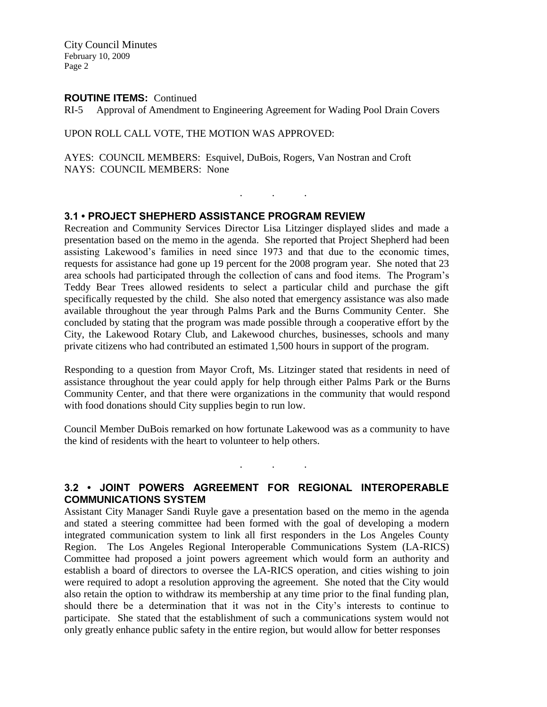City Council Minutes February 10, 2009 Page 2

#### **ROUTINE ITEMS:** Continued

RI-5 Approval of Amendment to Engineering Agreement for Wading Pool Drain Covers

#### UPON ROLL CALL VOTE, THE MOTION WAS APPROVED:

AYES: COUNCIL MEMBERS: Esquivel, DuBois, Rogers, Van Nostran and Croft NAYS: COUNCIL MEMBERS: None

## **3.1 • PROJECT SHEPHERD ASSISTANCE PROGRAM REVIEW**

Recreation and Community Services Director Lisa Litzinger displayed slides and made a presentation based on the memo in the agenda. She reported that Project Shepherd had been assisting Lakewood's families in need since 1973 and that due to the economic times, requests for assistance had gone up 19 percent for the 2008 program year. She noted that 23 area schools had participated through the collection of cans and food items. The Program's Teddy Bear Trees allowed residents to select a particular child and purchase the gift specifically requested by the child. She also noted that emergency assistance was also made available throughout the year through Palms Park and the Burns Community Center. She concluded by stating that the program was made possible through a cooperative effort by the City, the Lakewood Rotary Club, and Lakewood churches, businesses, schools and many private citizens who had contributed an estimated 1,500 hours in support of the program.

. . .

Responding to a question from Mayor Croft, Ms. Litzinger stated that residents in need of assistance throughout the year could apply for help through either Palms Park or the Burns Community Center, and that there were organizations in the community that would respond with food donations should City supplies begin to run low.

Council Member DuBois remarked on how fortunate Lakewood was as a community to have the kind of residents with the heart to volunteer to help others.

 $\mathbf{r} = \mathbf{r} \times \mathbf{r}$  . The set of  $\mathbf{r}$ 

## **3.2 • JOINT POWERS AGREEMENT FOR REGIONAL INTEROPERABLE COMMUNICATIONS SYSTEM**

Assistant City Manager Sandi Ruyle gave a presentation based on the memo in the agenda and stated a steering committee had been formed with the goal of developing a modern integrated communication system to link all first responders in the Los Angeles County Region. The Los Angeles Regional Interoperable Communications System (LA-RICS) Committee had proposed a joint powers agreement which would form an authority and establish a board of directors to oversee the LA-RICS operation, and cities wishing to join were required to adopt a resolution approving the agreement. She noted that the City would also retain the option to withdraw its membership at any time prior to the final funding plan, should there be a determination that it was not in the City's interests to continue to participate. She stated that the establishment of such a communications system would not only greatly enhance public safety in the entire region, but would allow for better responses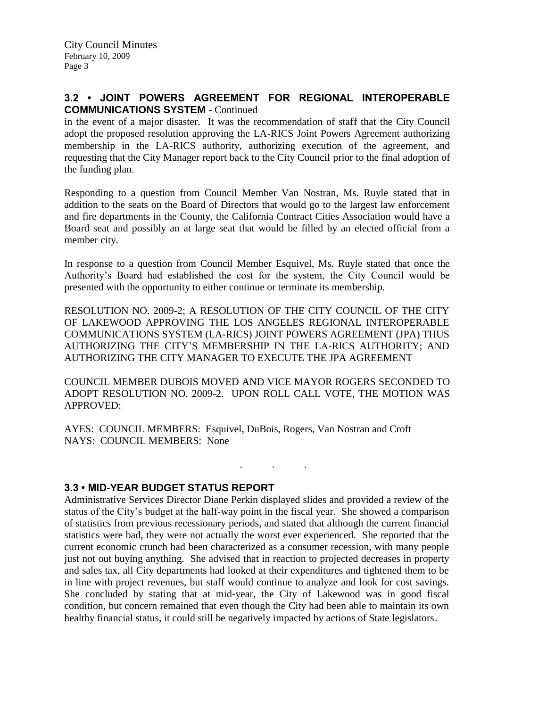## **3.2 • JOINT POWERS AGREEMENT FOR REGIONAL INTEROPERABLE COMMUNICATIONS SYSTEM** - Continued

in the event of a major disaster. It was the recommendation of staff that the City Council adopt the proposed resolution approving the LA-RICS Joint Powers Agreement authorizing membership in the LA-RICS authority, authorizing execution of the agreement, and requesting that the City Manager report back to the City Council prior to the final adoption of the funding plan.

Responding to a question from Council Member Van Nostran, Ms. Ruyle stated that in addition to the seats on the Board of Directors that would go to the largest law enforcement and fire departments in the County, the California Contract Cities Association would have a Board seat and possibly an at large seat that would be filled by an elected official from a member city.

In response to a question from Council Member Esquivel, Ms. Ruyle stated that once the Authority's Board had established the cost for the system, the City Council would be presented with the opportunity to either continue or terminate its membership.

RESOLUTION NO. 2009-2; A RESOLUTION OF THE CITY COUNCIL OF THE CITY OF LAKEWOOD APPROVING THE LOS ANGELES REGIONAL INTEROPERABLE COMMUNICATIONS SYSTEM (LA-RICS) JOINT POWERS AGREEMENT (JPA) THUS AUTHORIZING THE CITY'S MEMBERSHIP IN THE LA-RICS AUTHORITY; AND AUTHORIZING THE CITY MANAGER TO EXECUTE THE JPA AGREEMENT

COUNCIL MEMBER DUBOIS MOVED AND VICE MAYOR ROGERS SECONDED TO ADOPT RESOLUTION NO. 2009-2. UPON ROLL CALL VOTE, THE MOTION WAS APPROVED:

 $\mathbf{r}$  .  $\mathbf{r}$  ,  $\mathbf{r}$  ,  $\mathbf{r}$  ,  $\mathbf{r}$  ,  $\mathbf{r}$  ,  $\mathbf{r}$ 

AYES: COUNCIL MEMBERS: Esquivel, DuBois, Rogers, Van Nostran and Croft NAYS: COUNCIL MEMBERS: None

## **3.3 • MID-YEAR BUDGET STATUS REPORT**

Administrative Services Director Diane Perkin displayed slides and provided a review of the status of the City's budget at the half-way point in the fiscal year. She showed a comparison of statistics from previous recessionary periods, and stated that although the current financial statistics were bad, they were not actually the worst ever experienced. She reported that the current economic crunch had been characterized as a consumer recession, with many people just not out buying anything. She advised that in reaction to projected decreases in property and sales tax, all City departments had looked at their expenditures and tightened them to be in line with project revenues, but staff would continue to analyze and look for cost savings. She concluded by stating that at mid-year, the City of Lakewood was in good fiscal condition, but concern remained that even though the City had been able to maintain its own healthy financial status, it could still be negatively impacted by actions of State legislators.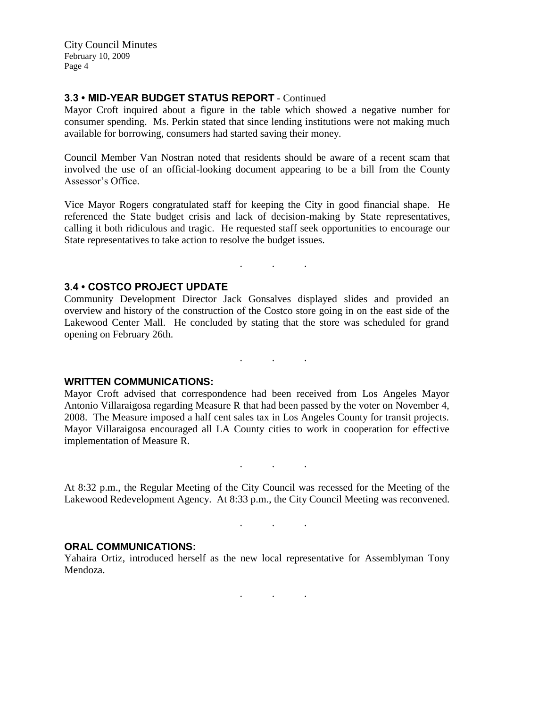City Council Minutes February 10, 2009 Page 4

## **3.3 • MID-YEAR BUDGET STATUS REPORT** - Continued

Mayor Croft inquired about a figure in the table which showed a negative number for consumer spending. Ms. Perkin stated that since lending institutions were not making much available for borrowing, consumers had started saving their money.

Council Member Van Nostran noted that residents should be aware of a recent scam that involved the use of an official-looking document appearing to be a bill from the County Assessor's Office.

Vice Mayor Rogers congratulated staff for keeping the City in good financial shape. He referenced the State budget crisis and lack of decision-making by State representatives, calling it both ridiculous and tragic. He requested staff seek opportunities to encourage our State representatives to take action to resolve the budget issues.

## **3.4 • COSTCO PROJECT UPDATE**

Community Development Director Jack Gonsalves displayed slides and provided an overview and history of the construction of the Costco store going in on the east side of the Lakewood Center Mall. He concluded by stating that the store was scheduled for grand opening on February 26th.

. . .

. . .

#### **WRITTEN COMMUNICATIONS:**

Mayor Croft advised that correspondence had been received from Los Angeles Mayor Antonio Villaraigosa regarding Measure R that had been passed by the voter on November 4, 2008. The Measure imposed a half cent sales tax in Los Angeles County for transit projects. Mayor Villaraigosa encouraged all LA County cities to work in cooperation for effective implementation of Measure R.

At 8:32 p.m., the Regular Meeting of the City Council was recessed for the Meeting of the Lakewood Redevelopment Agency. At 8:33 p.m., the City Council Meeting was reconvened.

. . .

. . .

. . .

#### **ORAL COMMUNICATIONS:**

Yahaira Ortiz, introduced herself as the new local representative for Assemblyman Tony Mendoza.